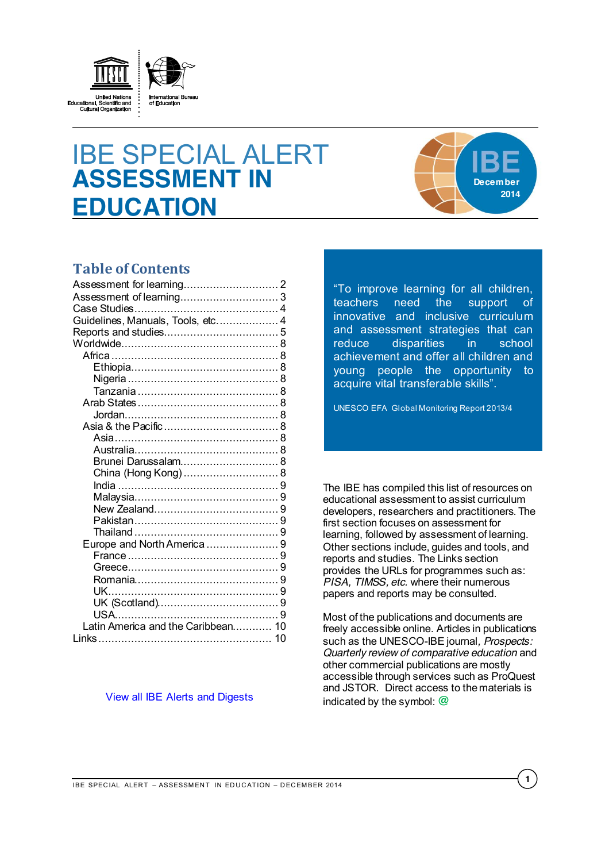

# IBE SPECIAL ALERT **ASSESSMENT IN EDUCATION**



# **Table of Contents**

| Guidelines, Manuals, Tools, etc 4  |  |
|------------------------------------|--|
|                                    |  |
|                                    |  |
| Africa …………………………………………… 8         |  |
|                                    |  |
| Nigeria .………………………………………… 8        |  |
|                                    |  |
|                                    |  |
|                                    |  |
|                                    |  |
|                                    |  |
|                                    |  |
| Brunei Darussalam 8                |  |
|                                    |  |
|                                    |  |
|                                    |  |
|                                    |  |
|                                    |  |
|                                    |  |
| Europe and North America  9        |  |
|                                    |  |
|                                    |  |
|                                    |  |
|                                    |  |
|                                    |  |
|                                    |  |
| Latin America and the Caribbean 10 |  |
|                                    |  |
|                                    |  |

#### [View all IBE Alerts and Digests](http://www.ibe.unesco.org/en/services/online-materials/digests-and-alert-services.html)

"To improve learning for all children, teachers need the support of innovative and inclusive curriculum and assessment strategies that can reduce disparities in school achievement and offer all children and young people the opportunity to acquire vital transferable skills".

UNESCO EFA Global Monitoring Report 2013/4

The IBE has compiled this list of resources on educational assessment to assist curriculum developers, researchers and practitioners. The first section focuses on assessment for learning, followed by assessment of learning. Other sections include, guides and tools, and reports and studies. The Links section provides the URLs for programmes such as: *PISA, TIMSS, etc.* where their numerous papers and reports may be consulted.

Most of the publications and documents are freely accessible online. Articles in publications such as the UNESCO-IBE journal*, Prospects: Quarterly review of comparative education* and other commercial publications are mostly accessible through services such as ProQuest and JSTOR. Direct access to the materials is indicated by the symbol: **@**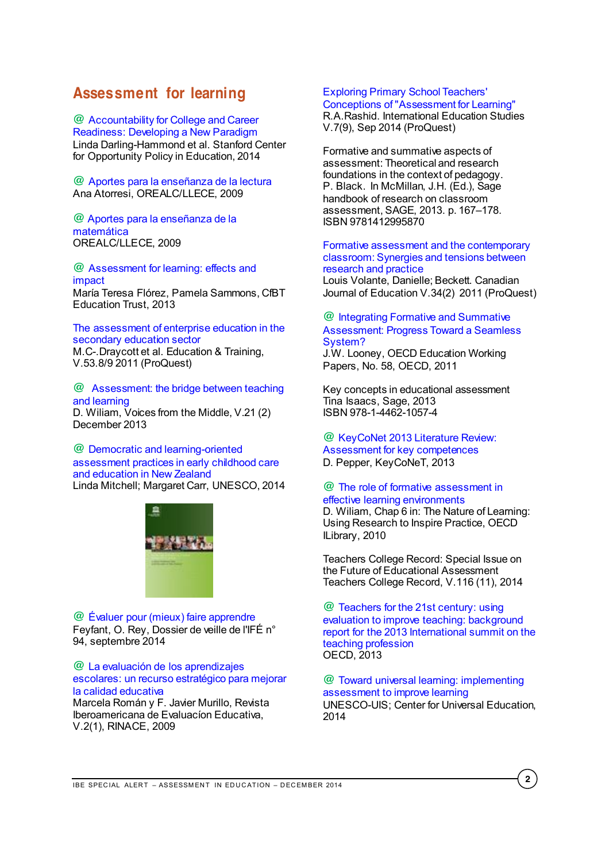# <span id="page-1-0"></span>**Assessment for learning**

**@** [Accountability for College and Career](https://edpolicy.stanford.edu/sites/default/files/publications/accountability-college-and-career-readiness-developing-new-paradigm.pdf)  [Readiness: Developing a New Paradigm](https://edpolicy.stanford.edu/sites/default/files/publications/accountability-college-and-career-readiness-developing-new-paradigm.pdf) Linda Darling-Hammond et al. Stanford Center for Opportunity Policy in Education, 2014

**@** [Aportes para la enseñanza de la lectura](http://unesdoc.unesco.org/images/0018/001802/180220s.pdf) Ana Atorresi, OREALC/LLECE, 2009

#### **@** [Aportes para la enseñanza de la](http://unesdoc.unesco.org/images/0018/001802/180273s.pdf)  [matemática](http://unesdoc.unesco.org/images/0018/001802/180273s.pdf) OREALC/LLECE, 2009

**@** [Assessment for learning: effects and](http://cdn.cfbt.com/~/media/cfbtcorporate/files/research/2013/r-assessment-for-learning-2013.pdf)  [impact](http://cdn.cfbt.com/~/media/cfbtcorporate/files/research/2013/r-assessment-for-learning-2013.pdf) María Teresa Flórez, Pamela Sammons, CfBT Education Trust, 2013

[The assessment of enterprise education in the](http://search.proquest.com/pqcentral/docview/904944310/fulltextPDF/B67F3397B44A4EEEPQ/72?accountid=41859)  [secondary education sector](http://search.proquest.com/pqcentral/docview/904944310/fulltextPDF/B67F3397B44A4EEEPQ/72?accountid=41859) M.C-.Draycott et al. Education & Training, V.53.8/9 2011 (ProQuest)

**@** [Assessment: the bridge between teaching](http://www.ncte.org/library/NCTEFiles/Resources/Journals/VM/0212-dec2013/VM0212Assessment.pdf)  [and learning](http://www.ncte.org/library/NCTEFiles/Resources/Journals/VM/0212-dec2013/VM0212Assessment.pdf) D. Wiliam, Voices from the Middle, V.21 (2) December 2013

**@** [Democratic and learning-oriented](http://unesdoc.unesco.org/images/0022/002265/226550e.pdf)  [assessment practices in early childhood care](http://unesdoc.unesco.org/images/0022/002265/226550e.pdf)  [and education in New Zealand](http://unesdoc.unesco.org/images/0022/002265/226550e.pdf) Linda Mitchell; Margaret Carr, UNESCO, 2014



**@** [Évaluer pour \(mieux\) faire apprendre](http://ife.ens-lyon.fr/vst/DA-Veille/94-septembre-2014.pdf) Feyfant, O. Rey, Dossier de veille de l'IFÉ n° 94, septembre 2014

#### **@** [La evaluación de los aprendizajes](http://www.rinace.net/riee/numeros/vol2-num1/RIEE,%20Vol2,1.pdf)  [escolares: un recurso estratégico para mejorar](http://www.rinace.net/riee/numeros/vol2-num1/RIEE,%20Vol2,1.pdf)  [la calidad educativa](http://www.rinace.net/riee/numeros/vol2-num1/RIEE,%20Vol2,1.pdf)

Marcela Román y F. Javier Murillo, Revista Iberoamericana de Evaluacíon Educativa, V.2(1), RINACE, 2009

# [Exploring Primary School Teachers'](http://search.proquest.com/pqcentral/docview/1561743537/3444DAFDEB524D65PQ/23?accountid=41859)

[Conceptions of "Assessment for Learning"](http://search.proquest.com/pqcentral/docview/1561743537/3444DAFDEB524D65PQ/23?accountid=41859) R.A.Rashid. International Education Studies V.7(9), Sep 2014 (ProQuest)

Formative and summative aspects of assessment: Theoretical and research foundations in the context of pedagogy. P. Black. In McMillan, J.H. (Ed.), Sage handbook of research on classroom assessment, SAGE, 2013. p. 167-178. ISBN 9781412995870

[Formative assessment and the contemporary](http://search.proquest.com/pqcentral/docview/881644001/fulltextPDF/B67F3397B44A4EEEPQ/83?accountid=41859)  [classroom: Synergies and tensions between](http://search.proquest.com/pqcentral/docview/881644001/fulltextPDF/B67F3397B44A4EEEPQ/83?accountid=41859)  [research and practice](http://search.proquest.com/pqcentral/docview/881644001/fulltextPDF/B67F3397B44A4EEEPQ/83?accountid=41859)

Louis Volante, Danielle; Beckett. Canadian Journal of Education V.34(2) 2011 (ProQuest)

#### **@** [Integrating Formative and Summative](http://www.oecd.org/officialdocuments/publicdisplaydocumentpdf/?cote=edu/wkp%282011%294&doclanguage=en)  [Assessment: Progress Toward a Seamless](http://www.oecd.org/officialdocuments/publicdisplaydocumentpdf/?cote=edu/wkp%282011%294&doclanguage=en)  [System?](http://www.oecd.org/officialdocuments/publicdisplaydocumentpdf/?cote=edu/wkp%282011%294&doclanguage=en)

J.W. Looney, OECD Education Working Papers, No. 58, OECD, 2011

Key concepts in educational assessment Tina Isaacs, Sage, 2013 ISBN 978-1-4462-1057-4

**@** [KeyCoNet 2013 Literature Review:](http://keyconet.eun.org/c/document_library/get_file?uuid=b1475317-108c-4cf5-a650-dae772a7d943&groupId=11028)  [Assessment for key competences](http://keyconet.eun.org/c/document_library/get_file?uuid=b1475317-108c-4cf5-a650-dae772a7d943&groupId=11028) D. Pepper, KeyCoNeT, 2013

### **@** [The role of formative assessment in](http://www.keepeek.com/Digital-Asset-Management/oecd/education/the-nature-of-learning/the-role-of-formative-assessment-in-effective-learning-environments_9789264086487-8-en#page1)  [effective learning environments](http://www.keepeek.com/Digital-Asset-Management/oecd/education/the-nature-of-learning/the-role-of-formative-assessment-in-effective-learning-environments_9789264086487-8-en#page1)

D. Wiliam, Chap 6 in: The Nature of Learning: Using Research to Inspire Practice, OECD ILibrary, 2010

Teachers College Record: Special Issue on the Future of Educational Assessment Teachers College Record, V.116 (11), 2014

**@** [Teachers for the 21st century: using](http://www.oecd.org/site/eduistp13/TS2013%20Background%20Report.pdf)  [evaluation to improve teaching: background](http://www.oecd.org/site/eduistp13/TS2013%20Background%20Report.pdf)  [report for the 2013 International summit on the](http://www.oecd.org/site/eduistp13/TS2013%20Background%20Report.pdf)  [teaching profession](http://www.oecd.org/site/eduistp13/TS2013%20Background%20Report.pdf) OECD, 2013

**@** [Toward universal learning: implementing](http://unesdoc.unesco.org/images/0022/002286/228668e.pdf)  [assessment to improve learning](http://unesdoc.unesco.org/images/0022/002286/228668e.pdf) UNESCO-UIS; Center for Universal Education, 2014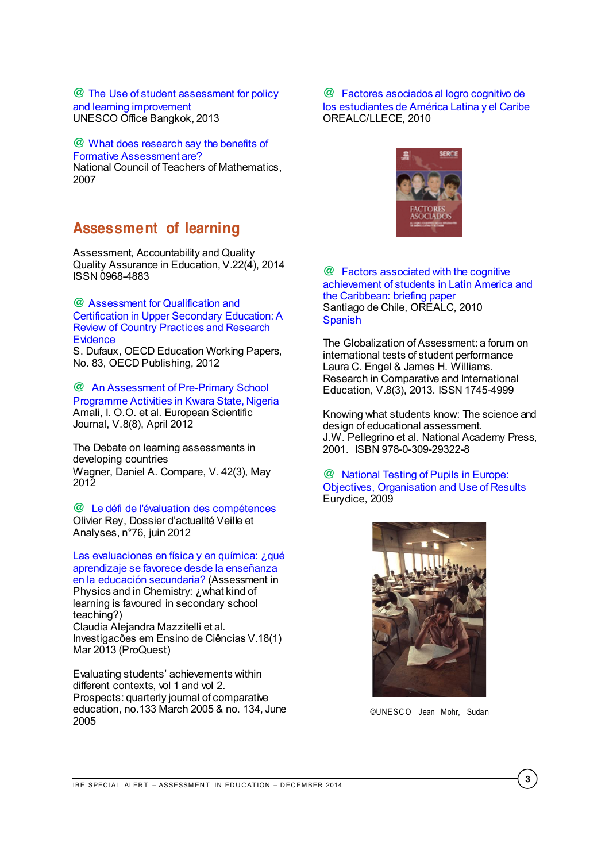**@** [The Use of student assessment for policy](http://unesdoc.unesco.org/images/0022/002206/220693e.pdf)  [and learning improvement](http://unesdoc.unesco.org/images/0022/002206/220693e.pdf) UNESCO Office Bangkok, 2013

#### **@** [What does research say](http://www.nctm.org/uploadedFiles/Research_News_and_Advocacy/Research/Clips_and_Briefs/Research_brief_05_-_Formative_Assessment.pdf) the benefits of [Formative Assessment are?](http://www.nctm.org/uploadedFiles/Research_News_and_Advocacy/Research/Clips_and_Briefs/Research_brief_05_-_Formative_Assessment.pdf)

National Council of Teachers of Mathematics, 2007

# <span id="page-2-0"></span>**Assessment of learning**

Assessment, Accountability and Quality Quality Assurance in Education, V.22(4), 2014 ISSN 0968-4883

**@** [Assessment for Qualification and](http://www.oecd-ilibrary.org/content/workingpaper/5k92zp1cshvb-en)  [Certification in Upper Secondary Education: A](http://www.oecd-ilibrary.org/content/workingpaper/5k92zp1cshvb-en)  [Review of Country Practices and Research](http://www.oecd-ilibrary.org/content/workingpaper/5k92zp1cshvb-en)  **Evidence** 

S. Dufaux, OECD Education Working Papers, No. 83, OECD Publishing, 2012

**@** [An Assessment of Pre-Primary School](http://www.eujournal.org/index.php/esj/article/view/132)  [Programme Activities in Kwara State, Nigeria](http://www.eujournal.org/index.php/esj/article/view/132) Amali, I. O.O. et al. European Scientific Journal, V.8(8), April 2012

The Debate on learning assessments in developing countries Wagner, Daniel A. Compare, V. 42(3), May 2012

**@** [Le défi de l'évaluation des compétences](http://ife.ens-lyon.fr/vst/DA-Veille/76-juin-2012.pdf) Olivier Rey, Dossier d'actualité Veille et Analyses, n°76, juin 2012

[Las evaluaciones en física y en química: ¿qué](http://search.proquest.com/pqcentral/docview/1519305509/fulltextPDF/B67F3397B44A4EEEPQ/35?accountid=41859)  [aprendizaje se favorece desde la enseñanza](http://search.proquest.com/pqcentral/docview/1519305509/fulltextPDF/B67F3397B44A4EEEPQ/35?accountid=41859)  [en la educación secundaria?](http://search.proquest.com/pqcentral/docview/1519305509/fulltextPDF/B67F3397B44A4EEEPQ/35?accountid=41859) (Assessment in Physics and in Chemistry: ¿what kind of learning is favoured in secondary school teaching?) Claudia Alejandra Mazzitelli et al. Investigacões em Ensino de Ciências V.18(1) Mar 2013 (ProQuest)

Evaluating students' achievements within different contexts, vol 1 and vol 2. Prospects: quarterly journal of comparative education, no.133 March 2005 & no. 134, June 2005

**@** [Factores asociados al logro cognitivo de](http://unesdoc.unesco.org/images/0018/001867/186769s.pdf)  [los estudiantes de América Latina y el Caribe](http://unesdoc.unesco.org/images/0018/001867/186769s.pdf) OREALC/LLECE, 2010



**@** [Factors associated with the cognitive](http://unesdoc.unesco.org/images/0019/001902/190213e.pdf)  [achievement of students in Latin America and](http://unesdoc.unesco.org/images/0019/001902/190213e.pdf)  [the Caribbean: briefing paper](http://unesdoc.unesco.org/images/0019/001902/190213e.pdf) Santiago de Chile, OREALC, 2010 **[Spanish](http://unesdoc.unesco.org/images/0019/001902/190213s.pdf)** 

The Globalization of Assessment: a forum on international tests of student performance Laura C. Engel & James H. Williams. Research in Comparative and International Education, V.8(3), 2013. ISSN 1745-4999

Knowing what students know: The science and design of educational assessment. J.W. Pellegrino et al. National Academy Press, 2001. ISBN 978-0-309-29322-8

**@** [National Testing of Pupils in Europe:](http://eacea.ec.europa.eu/education/eurydice/documents/thematic_reports/109EN.pdf)  [Objectives, Organisation and Use of Results](http://eacea.ec.europa.eu/education/eurydice/documents/thematic_reports/109EN.pdf) Eurydice, 2009



©UNESC O Jean Mohr, Sudan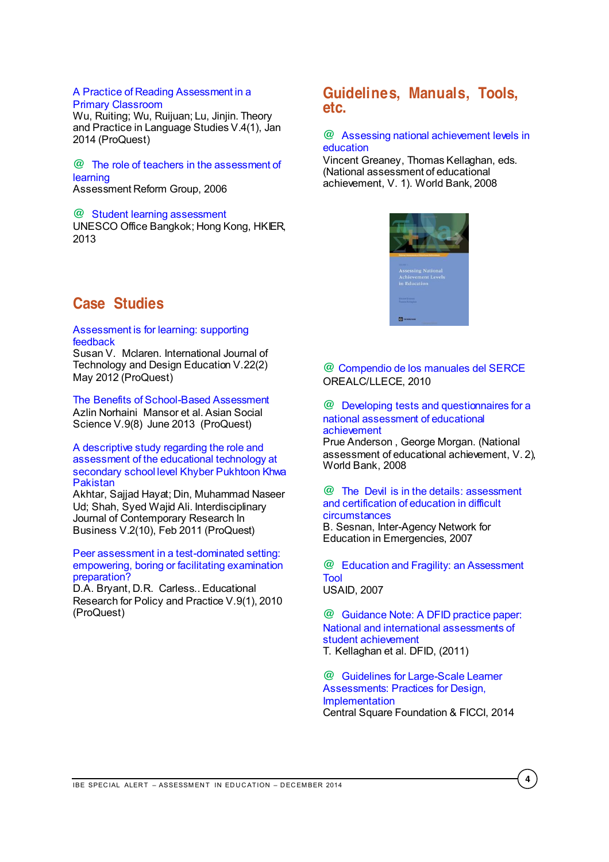#### [A Practice of Reading Assessment in a](http://search.proquest.com/pqcentral/docview/1504226225/fulltextPDF/21027F5A41FD4A18PQ/44?accountid=41859)  [Primary Classroom](http://search.proquest.com/pqcentral/docview/1504226225/fulltextPDF/21027F5A41FD4A18PQ/44?accountid=41859)

Wu, Ruiting; Wu, Ruijuan; Lu, Jinjin. Theory and Practice in Language Studies V.4(1), Jan 2014 (ProQuest)

**@** [The role of teachers in the assessment of](http://www.nuffieldfoundation.org/sites/default/files/files/The-role-of-teachers-in-the-assessment-of-learning.pdf)  [learning](http://www.nuffieldfoundation.org/sites/default/files/files/The-role-of-teachers-in-the-assessment-of-learning.pdf) Assessment Reform Group, 2006

#### **@** [Student learning assessment](http://unesdoc.unesco.org/images/0021/002178/217816e.pdf)

UNESCO Office Bangkok; Hong Kong, HKIER, 2013

# <span id="page-3-1"></span>**Guidelines, Manuals, Tools, etc.**

# **@** [Assessing national achievement levels in](http://siteresources.worldbank.org/EDUCATION/Resources/278200-1099079877269/547664-1099079993288/assessing_national_achievement_level_Edu.pdf)  [education](http://siteresources.worldbank.org/EDUCATION/Resources/278200-1099079877269/547664-1099079993288/assessing_national_achievement_level_Edu.pdf)

Vincent Greaney, Thomas Kellaghan, eds. (National assessment of educational achievement, V. 1). World Bank, 2008



# <span id="page-3-0"></span>**Case Studies**

#### [Assessment is for learning: supporting](http://search.proquest.com/pqcentral/docview/1013451453/21027F5A41FD4A18PQ/163?accountid=41859)  [feedback](http://search.proquest.com/pqcentral/docview/1013451453/21027F5A41FD4A18PQ/163?accountid=41859)

Susan V. Mclaren. International Journal of Technology and Design Education V.22(2) May 2012 (ProQuest)

# [The Benefits of School-Based Assessment](http://search.proquest.com/pqcentral/docview/1349413234/fulltextPDF/21027F5A41FD4A18PQ/95?accountid=41859)

Azlin Norhaini Mansor et al. Asian Social Science V.9(8) June 2013 (ProQuest)

### [A descriptive study regarding the role and](http://search.proquest.com/pqcentral/docview/857667199/fulltextPDF/B67F3397B44A4EEEPQ/87?accountid=41859)  [assessment of the educational technology at](http://search.proquest.com/pqcentral/docview/857667199/fulltextPDF/B67F3397B44A4EEEPQ/87?accountid=41859)  [secondary school level Khyber Pukhtoon Khwa](http://search.proquest.com/pqcentral/docview/857667199/fulltextPDF/B67F3397B44A4EEEPQ/87?accountid=41859)  [Pakistan](http://search.proquest.com/pqcentral/docview/857667199/fulltextPDF/B67F3397B44A4EEEPQ/87?accountid=41859)

Akhtar, Sajjad Hayat; Din, Muhammad Naseer Ud; Shah, Syed Wajid Ali. Interdisciplinary Journal of Contemporary Research In Business V.2(10), Feb 2011 (ProQuest)

#### [Peer assessment in a test-dominated setting:](http://search.proquest.com/pqcentral/docview/220579050/B67F3397B44A4EEEPQ/102?accountid=41859)  [empowering, boring or facilitating examination](http://search.proquest.com/pqcentral/docview/220579050/B67F3397B44A4EEEPQ/102?accountid=41859)  [preparation?](http://search.proquest.com/pqcentral/docview/220579050/B67F3397B44A4EEEPQ/102?accountid=41859)

D.A. Bryant, D.R. Carless.. Educational Research for Policy and Practice V.9(1), 2010 (ProQuest)

# **@** [Compendio de los manuales del SERCE](http://unesdoc.unesco.org/images/0019/001919/191940s.pdf) OREALC/LLECE, 2010

#### **@** [Developing tests and questionnaires for a](http://siteresources.worldbank.org/EDUCATION/Resources/278200-1099079877269/547664-1222888444288/National_assessment_Vol2.pdf)  [national assessment of educational](http://siteresources.worldbank.org/EDUCATION/Resources/278200-1099079877269/547664-1222888444288/National_assessment_Vol2.pdf)  [achievement](http://siteresources.worldbank.org/EDUCATION/Resources/278200-1099079877269/547664-1222888444288/National_assessment_Vol2.pdf)

Prue Anderson , George Morgan. (National assessment of educational achievement, V. 2), World Bank, 2008

# **@** [The Devil is in the details: assessment](http://www.ineesite.org/en/resources/the_devil_is_in_the_details_assessment_and_certification_of_education_in_di)  [and certification of education in difficult](http://www.ineesite.org/en/resources/the_devil_is_in_the_details_assessment_and_certification_of_education_in_di)  [circumstances](http://www.ineesite.org/en/resources/the_devil_is_in_the_details_assessment_and_certification_of_education_in_di)

B. Sesnan, Inter-Agency Network for Education in Emergencies, 2007

**@** [Education and Fragility: an Assessment](http://pdf.usaid.gov/pdf_docs/PNADH913.pdf)  [Tool](http://pdf.usaid.gov/pdf_docs/PNADH913.pdf) USAID, 2007

**@** [Guidance Note: A DFID practice paper:](http://www.heart-resources.org/wp-content/uploads/2012/04/04-Learning-Outcomes-How-To-Note.pdf?08012f)  [National and international assessments of](http://www.heart-resources.org/wp-content/uploads/2012/04/04-Learning-Outcomes-How-To-Note.pdf?08012f)  [student achievement](http://www.heart-resources.org/wp-content/uploads/2012/04/04-Learning-Outcomes-How-To-Note.pdf?08012f) T. Kellaghan et al. DFID, (2011)

**@** [Guidelines for Large-Scale Learner](http://www.ficci.com/spdocument/20381/CSF-FICCI_Guidelines-Mar-2014.pdf)  [Assessments: Practices for Design,](http://www.ficci.com/spdocument/20381/CSF-FICCI_Guidelines-Mar-2014.pdf)  [Implementation](http://www.ficci.com/spdocument/20381/CSF-FICCI_Guidelines-Mar-2014.pdf) Central Square Foundation & FICCI, 2014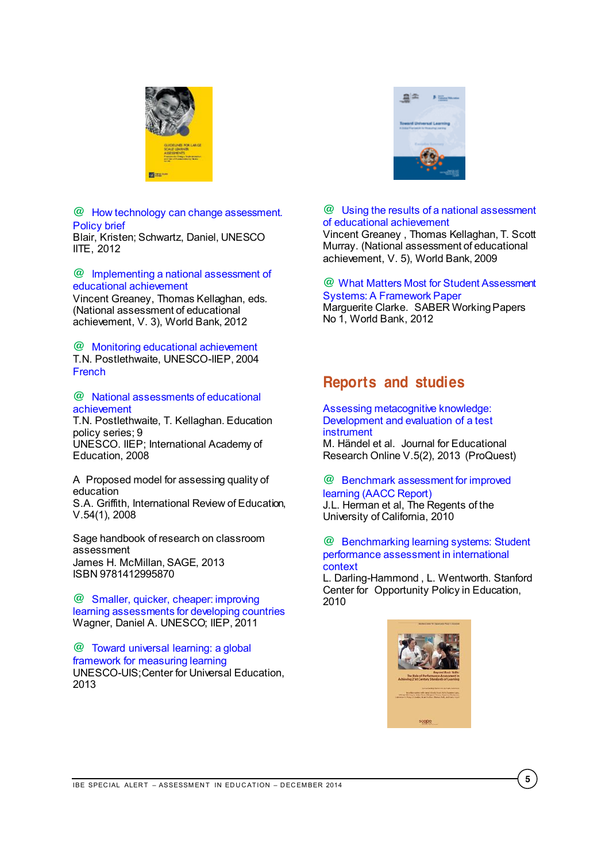

#### **@** [How technology can change assessment.](http://unesdoc.unesco.org/images/0022/002202/220236e.pdf)  [Policy brief](http://unesdoc.unesco.org/images/0022/002202/220236e.pdf) Blair, Kristen; Schwartz, Daniel, UNESCO IITE, 2012

### **@** [Implementing a national assessment of](http://www-wds.worldbank.org/external/default/WDSContentServer/WDSP/IB/2012/02/03/000356161_20120203005511/Rendered/PDF/666090PUB0EPI00enting09780821385890.pdf)  [educational achievement](http://www-wds.worldbank.org/external/default/WDSContentServer/WDSP/IB/2012/02/03/000356161_20120203005511/Rendered/PDF/666090PUB0EPI00enting09780821385890.pdf)

Vincent Greaney, Thomas Kellaghan, eds. (National assessment of educational achievement, V. 3), World Bank, 2012

**@** [Monitoring educational achievement](http://unesdoc.unesco.org/images/0013/001390/139059e.pdf) T.N. Postlethwaite, UNESCO-IIEP, 2004 [French](http://unesdoc.unesco.org/images/0013/001390/139059fo.pdf)

#### **@** [National assessments of educational](http://unesdoc.unesco.org/images/0018/001817/181753e.pdf)  [achievement](http://unesdoc.unesco.org/images/0018/001817/181753e.pdf)

T.N. Postlethwaite, T. Kellaghan. Education policy series; 9 UNESCO. IIEP; International Academy of Education, 2008

A Proposed model for assessing quality of education S.A. Griffith, International Review of Education, V.54(1), 2008

Sage handbook of research on classroom assessment James H. McMillan, SAGE, 2013 ISBN 9781412995870

**@** [Smaller, quicker, cheaper: improving](http://unesdoc.unesco.org/images/0021/002136/213663e.pdf)  [learning assessments for developing countries](http://unesdoc.unesco.org/images/0021/002136/213663e.pdf) Wagner, Daniel A. UNESCO; IIEP, 2011

**@** [Toward universal learning: a global](http://unesdoc.unesco.org/images/0022/002252/225225e.pdf)  [framework for measuring learning](http://unesdoc.unesco.org/images/0022/002252/225225e.pdf) UNESCO-UIS;Center for Universal Education, 2013



# **@** [Using the results of a national assessment](http://siteresources.worldbank.org/EDUCATION/Resources/278200-1099079877269/547664-1222888444288/National_assessment_Vol5.pdf)  [of educational achievement](http://siteresources.worldbank.org/EDUCATION/Resources/278200-1099079877269/547664-1222888444288/National_assessment_Vol5.pdf)

Vincent Greaney , Thomas Kellaghan, T. Scott Murray. (National assessment of educational achievement, V. 5), World Bank, 2009

#### **@** [What Matters Most for Student Assessment](https://openknowledge.worldbank.org/bitstream/handle/10986/17471/682350WP00PUBL0WP10READ0web04019012.pdf?sequence=1)  [Systems: A Framework Paper](https://openknowledge.worldbank.org/bitstream/handle/10986/17471/682350WP00PUBL0WP10READ0web04019012.pdf?sequence=1)

Marguerite Clarke. SABER Working Papers No 1, World Bank, 2012

# <span id="page-4-0"></span>**Reports and studies**

#### [Assessing metacognitive knowledge:](http://search.proquest.com/pqcentral/docview/1531984372/fulltextPDF/21027F5A41FD4A18PQ/88?accountid=41859)  [Development and evaluation of a test](http://search.proquest.com/pqcentral/docview/1531984372/fulltextPDF/21027F5A41FD4A18PQ/88?accountid=41859)  [instrument](http://search.proquest.com/pqcentral/docview/1531984372/fulltextPDF/21027F5A41FD4A18PQ/88?accountid=41859) M. Händel et al. Journal for Educational Research Online V.5(2), 2013 (ProQuest)

### **@** [Benchmark assessment for improved](http://www.cse.ucla.edu/products/policy/r2_benchmark_report_herman.pdf)  [learning \(AACC Report\)](http://www.cse.ucla.edu/products/policy/r2_benchmark_report_herman.pdf) J.L. Herman et al, The Regents of the University of California, 2010

# **@** [Benchmarking learning systems: Student](http://www.ncee.org/wp-content/uploads/2010/11/BenchmarkingLearningSystemHAMMOND.pdf)  [performance assessment in international](http://www.ncee.org/wp-content/uploads/2010/11/BenchmarkingLearningSystemHAMMOND.pdf)  [context](http://www.ncee.org/wp-content/uploads/2010/11/BenchmarkingLearningSystemHAMMOND.pdf)

L. Darling-Hammond , L. Wentworth. Stanford Center for Opportunity Policy in Education, 2010

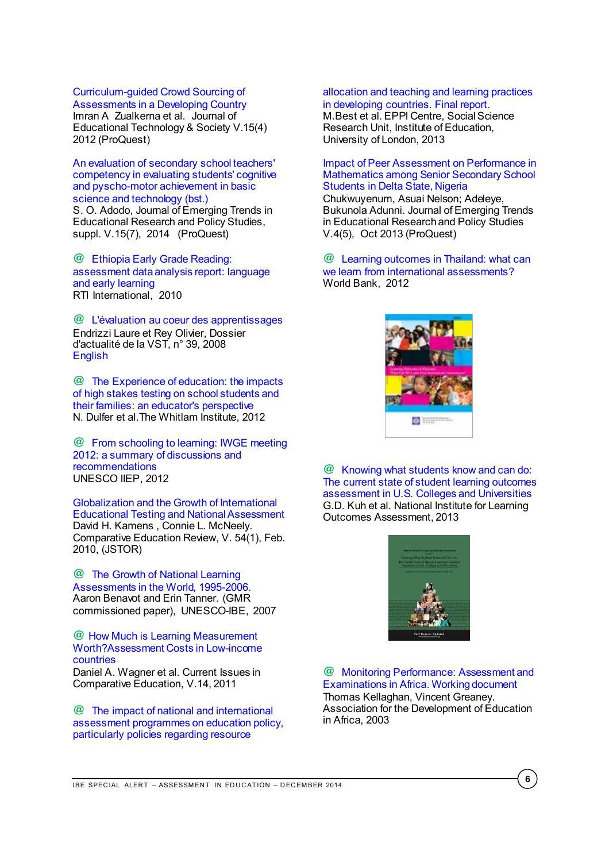# [Curriculum-guided Crowd Sourcing of](http://search.proquest.com/pqcentral/docview/1287025035/fulltextPDF/21027F5A41FD4A18PQ/140?accountid=41859)

[Assessments in a Developing Country](http://search.proquest.com/pqcentral/docview/1287025035/fulltextPDF/21027F5A41FD4A18PQ/140?accountid=41859) Imran A Zualkerna et al. Journal of Educational Technology & Society V.15(4) 2012 (ProQuest)

[An evaluation of secondary school teachers'](http://search.proquest.com/pqcentral/docview/1564428887/fulltextPDF/B67F3397B44A4EEEPQ/13?accountid=41859)  [competency in evaluating students' cognitive](http://search.proquest.com/pqcentral/docview/1564428887/fulltextPDF/B67F3397B44A4EEEPQ/13?accountid=41859)  [and pyscho-motor achievement in basic](http://search.proquest.com/pqcentral/docview/1564428887/fulltextPDF/B67F3397B44A4EEEPQ/13?accountid=41859)  [science and technology \(bst.\)](http://search.proquest.com/pqcentral/docview/1564428887/fulltextPDF/B67F3397B44A4EEEPQ/13?accountid=41859) S. O. Adodo, Journal of Emerging Trends in Educational Research and Policy Studies, suppl. V.15(7), 2014 (ProQuest)

**@** [Ethiopia Early Grade Reading:](http://www.usaid.gov/sites/default/files/documents/1860/Ethiopia%20Early%20Grade%20Reading%20Assessment.pdf)  [assessment data analysis report: language](http://www.usaid.gov/sites/default/files/documents/1860/Ethiopia%20Early%20Grade%20Reading%20Assessment.pdf)  [and early learning](http://www.usaid.gov/sites/default/files/documents/1860/Ethiopia%20Early%20Grade%20Reading%20Assessment.pdf) RTI International, 2010

**@** [L'évaluation au coeur des apprentissages](http://ife.ens-lyon.fr/vst/LettreVST/pdf/39-novembre-2008.pdf) Endrizzi Laure et Rey Olivier, Dossier d'actualité de la VST, n° 39, 2008 **[English](http://ife.ens-lyon.fr/vst/LettreVST/english/39-november-2008_en.php)** 

**@** [The Experience of education: the impacts](http://www.whitlam.org/__data/assets/pdf_file/0010/409735/High_Stakes_Testing_An_Educators_Perspective.pdf)  [of high stakes testing on school students and](http://www.whitlam.org/__data/assets/pdf_file/0010/409735/High_Stakes_Testing_An_Educators_Perspective.pdf)  [their families: an educator's perspective](http://www.whitlam.org/__data/assets/pdf_file/0010/409735/High_Stakes_Testing_An_Educators_Perspective.pdf) N. Dulfer et al.The Whitlam Institute, 2012

**@** [From schooling to learning: IWGE meeting](http://unesdoc.unesco.org/images/0021/002192/219289e.pdf)  [2012: a summary of discussions and](http://unesdoc.unesco.org/images/0021/002192/219289e.pdf)  [recommendations](http://unesdoc.unesco.org/images/0021/002192/219289e.pdf)  UNESCO IIEP, 2012

[Globalization and the Growth of International](http://www.jstor.org/stable/10.1086/648471)  [Educational Testing and National Assessment](http://www.jstor.org/stable/10.1086/648471) David H. Kamens , Connie L. McNeely. Comparative Education Review, V. 54(1), Feb. 2010, (JSTOR)

**@** [The Growth of National Learning](http://unesdoc.unesco.org/images/0015/001555/155507e.pdf)  [Assessments in the World, 1995-2006.](http://unesdoc.unesco.org/images/0015/001555/155507e.pdf) Aaron Benavot and Erin Tanner. (GMR commissioned paper), UNESCO-IBE, 2007

**@** How Much [is Learning Measurement](http://www.literacy.org/sites/literacy.org/files/publications/wagner_costoflearning_cice_11.pdf)  [Worth?Assessment Costs in Low-income](http://www.literacy.org/sites/literacy.org/files/publications/wagner_costoflearning_cice_11.pdf)  [countries](http://www.literacy.org/sites/literacy.org/files/publications/wagner_costoflearning_cice_11.pdf)

Daniel A. Wagner et al. Current Issues in Comparative Education, V.14, 2011

**@** [The impact of national and international](http://eppi.ioe.ac.uk/cms/LinkClick.aspx?fileticket=KKB8wH9tvmA%3D&tabid=3418)  [assessment programmes on education policy,](http://eppi.ioe.ac.uk/cms/LinkClick.aspx?fileticket=KKB8wH9tvmA%3D&tabid=3418)  [particularly policies regarding resource](http://eppi.ioe.ac.uk/cms/LinkClick.aspx?fileticket=KKB8wH9tvmA%3D&tabid=3418) 

#### [allocation and teaching and learning practices](http://eppi.ioe.ac.uk/cms/LinkClick.aspx?fileticket=KKB8wH9tvmA%3D&tabid=3418)  [in developing countries. Final report.](http://eppi.ioe.ac.uk/cms/LinkClick.aspx?fileticket=KKB8wH9tvmA%3D&tabid=3418)

M.Best et al. EPPI Centre, Social Science Research Unit, Institute of Education, University of London, 2013

### [Impact of Peer Assessment on Performance in](http://search.proquest.com/pqcentral/docview/1468906607/fulltextPDF/21027F5A41FD4A18PQ/72?accountid=41859)  [Mathematics among Senior Secondary School](http://search.proquest.com/pqcentral/docview/1468906607/fulltextPDF/21027F5A41FD4A18PQ/72?accountid=41859)  [Students in Delta State, Nigeria](http://search.proquest.com/pqcentral/docview/1468906607/fulltextPDF/21027F5A41FD4A18PQ/72?accountid=41859)

Chukwuyenum, Asuai Nelson; Adeleye, Bukunola Adunni. Journal of Emerging Trends in Educational Research and Policy Studies V.4(5), Oct 2013 (ProQuest)

**@** [Learning outcomes in Thailand: what can](http://www-wds.worldbank.org/external/default/WDSContentServer/WDSP/IB/2012/01/25/000386194_20120125004047/Rendered/PDF/648010ESW0whit0nal0Report0Formatted.pdf)  [we learn from international assessments?](http://www-wds.worldbank.org/external/default/WDSContentServer/WDSP/IB/2012/01/25/000386194_20120125004047/Rendered/PDF/648010ESW0whit0nal0Report0Formatted.pdf) World Bank, 2012



**@** [Knowing what students know and can do:](http://www.learningoutcomeassessment.org/knowingwhatstudentsknowandcando.html)  [The current state of student learning outcomes](http://www.learningoutcomeassessment.org/knowingwhatstudentsknowandcando.html)  [assessment in U.S. Colleges and Universities](http://www.learningoutcomeassessment.org/knowingwhatstudentsknowandcando.html) G.D. Kuh et al. National Institute for Learning Outcomes Assessment, 2013



**@** [Monitoring Performance: Assessment and](http://toolkit.ineesite.org/toolkit/INEEcms/uploads/1089/Monitoring_Performance_Assessment_Examinations.pdf)  [Examinations in Africa. Working document](http://toolkit.ineesite.org/toolkit/INEEcms/uploads/1089/Monitoring_Performance_Assessment_Examinations.pdf) Thomas Kellaghan, Vincent Greaney. Association for the Development of Education in Africa, 2003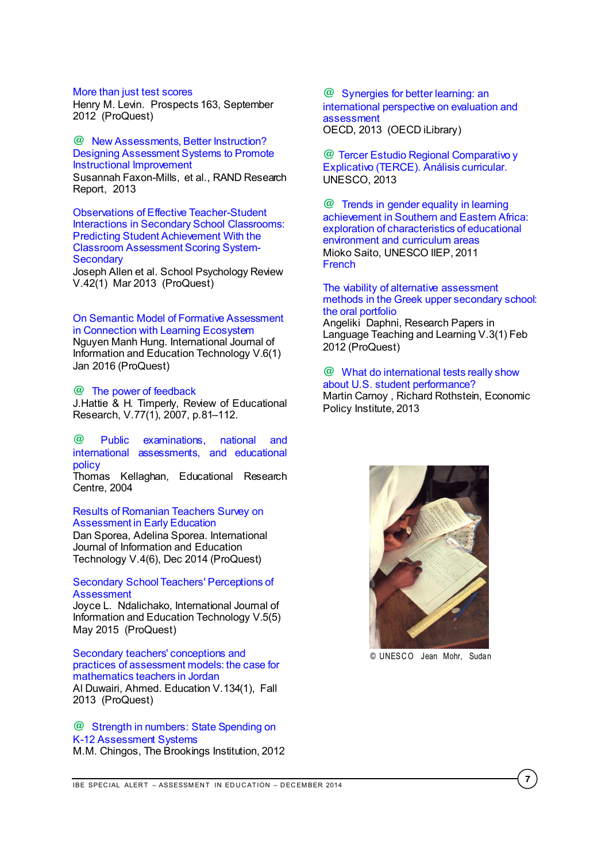#### [More than just test scores](http://search.proquest.com/pqcentral/docview/1112164207/fulltextPDF/89D0DC0FBD304BC4PQ/1?accountid=41859)

Henry M. Levin. Prospects 163, September 2012 (ProQuest)

#### **@** [New Assessments, Better Instruction?](http://www.rand.org/content/dam/rand/pubs/research_reports/RR300/RR354/RAND_RR354.pdf)  [Designing Assessment Systems to Promote](http://www.rand.org/content/dam/rand/pubs/research_reports/RR300/RR354/RAND_RR354.pdf)  [Instructional Improvement](http://www.rand.org/content/dam/rand/pubs/research_reports/RR300/RR354/RAND_RR354.pdf) Susannah Faxon-Mills, et al., RAND Research

Report, 2013

[Observations of Effective Teacher-Student](http://search.proquest.com/pqcentral/docview/1349929940/fulltextPDF/21027F5A41FD4A18PQ/110?accountid=41859)  [Interactions in Secondary School](http://search.proquest.com/pqcentral/docview/1349929940/fulltextPDF/21027F5A41FD4A18PQ/110?accountid=41859) Classrooms: [Predicting Student Achievement With the](http://search.proquest.com/pqcentral/docview/1349929940/fulltextPDF/21027F5A41FD4A18PQ/110?accountid=41859)  [Classroom Assessment Scoring System-](http://search.proquest.com/pqcentral/docview/1349929940/fulltextPDF/21027F5A41FD4A18PQ/110?accountid=41859)**[Secondary](http://search.proquest.com/pqcentral/docview/1349929940/fulltextPDF/21027F5A41FD4A18PQ/110?accountid=41859)** 

Joseph Allen et al. School Psychology Review V.42(1) Mar 2013 (ProQuest)

#### [On Semantic Model of Formative Assessment](http://search.proquest.com/pqcentral/docview/1610403695/fulltextPDF/E904A2F3BD1743C2PQ/2?accountid=41859)  [in Connection with Learning Ecosystem](http://search.proquest.com/pqcentral/docview/1610403695/fulltextPDF/E904A2F3BD1743C2PQ/2?accountid=41859)

Nguyen Manh Hung. International Journal of Information and Education Technology V.6(1) Jan 2016 (ProQuest)

#### **@** [The power of feedback](http://education.qld.gov.au/staff/development/performance/resources/readings/power-feedback.pdf)

J.Hattie & H. Timperly, Review of Educational Research, V.77(1), 2007, p.81–112.

# **@** [Public examinations, national and](http://siteresources.worldbank.org/INTAFRREGTOPSEIA/Resources/paper_Kellaghan.pdf)  [international assessments, and educational](http://siteresources.worldbank.org/INTAFRREGTOPSEIA/Resources/paper_Kellaghan.pdf)  [policy](http://siteresources.worldbank.org/INTAFRREGTOPSEIA/Resources/paper_Kellaghan.pdf)

Thomas Kellaghan, Educational Research Centre, 2004

#### [Results of Romanian Teachers Survey on](http://search.proquest.com/pqcentral/docview/1557064119/E904A2F3BD1743C2PQ/17?accountid=41859)  [Assessment in Early Education](http://search.proquest.com/pqcentral/docview/1557064119/E904A2F3BD1743C2PQ/17?accountid=41859)

Dan Sporea, Adelina Sporea. International Journal of Information and Education Technology V.4(6), Dec 2014 (ProQuest)

#### [Secondary School Teachers' Perceptions of](http://search.proquest.com/pqcentral/docview/1538895086/fulltextPDF/E904A2F3BD1743C2PQ/7?accountid=41859)  **[Assessment](http://search.proquest.com/pqcentral/docview/1538895086/fulltextPDF/E904A2F3BD1743C2PQ/7?accountid=41859)**

Joyce L. Ndalichako, International Journal of Information and Education Technology V.5(5) May 2015 (ProQuest)

#### [Secondary teachers' conceptions and](http://search.proquest.com/pqcentral/docview/1525982697/fulltextPDF/21027F5A41FD4A18PQ/68?accountid=41859)  [practices of assessment models: the case for](http://search.proquest.com/pqcentral/docview/1525982697/fulltextPDF/21027F5A41FD4A18PQ/68?accountid=41859)  [mathematics teachers in Jordan](http://search.proquest.com/pqcentral/docview/1525982697/fulltextPDF/21027F5A41FD4A18PQ/68?accountid=41859) Al Duwairi, Ahmed. Education V.134(1), Fall

2013 (ProQuest)

**@** [Strength in numbers: State Spending on](http://www.brookings.edu/~/media/research/files/reports/2012/11/29%20cost%20of%20assessment%20chingos/11_assessment_chingos_final.pdf)  [K-12 Assessment Systems](http://www.brookings.edu/~/media/research/files/reports/2012/11/29%20cost%20of%20assessment%20chingos/11_assessment_chingos_final.pdf) M.M. Chingos, The Brookings Institution, 2012

**@** [Synergies for better learning: an](http://www.oecd-ilibrary.org/docserver/download/9113021e.pdf?expires=1417099983&id=id&accname=ocid195767&checksum=B4B7D07C62DC4A4237AAE24D9E4947F3)  [international perspective on evaluation and](http://www.oecd-ilibrary.org/docserver/download/9113021e.pdf?expires=1417099983&id=id&accname=ocid195767&checksum=B4B7D07C62DC4A4237AAE24D9E4947F3)  [assessment](http://www.oecd-ilibrary.org/docserver/download/9113021e.pdf?expires=1417099983&id=id&accname=ocid195767&checksum=B4B7D07C62DC4A4237AAE24D9E4947F3) OECD, 2013 (OECD iLibrary)

**@** [Tercer Estudio Regional Comparativo y](http://www.unesco.org/new/fileadmin/MULTIMEDIA/FIELD/Santiago/pdf/analisis-curricular-terce.pdf)  [Explicativo \(TERCE\). Análisis curricular.](http://www.unesco.org/new/fileadmin/MULTIMEDIA/FIELD/Santiago/pdf/analisis-curricular-terce.pdf) UNESCO, 2013

**@** [Trends in gender equality in learning](http://doc.iiep.unesco.org/wwwisis/repdoc/SEM313/SEM313_5_eng.pdf)  [achievement in Southern and Eastern Africa:](http://doc.iiep.unesco.org/wwwisis/repdoc/SEM313/SEM313_5_eng.pdf)  [exploration of characteristics of educational](http://doc.iiep.unesco.org/wwwisis/repdoc/SEM313/SEM313_5_eng.pdf)  [environment and curriculum areas](http://doc.iiep.unesco.org/wwwisis/repdoc/SEM313/SEM313_5_eng.pdf) Mioko Saito, UNESCO IIEP, 2011 **[French](http://doc.iiep.unesco.org/wwwisis/repdoc/SEM313/SEM313_5_fre.pdf)** 

### [The viability of alternative assessment](http://search.proquest.com/pqcentral/docview/1322942241/fulltextPDF/1006368F7D8448CCPQ/3?accountid=41859)  [methods in the Greek upper secondary](http://search.proquest.com/pqcentral/docview/1322942241/fulltextPDF/1006368F7D8448CCPQ/3?accountid=41859) school: [the oral portfolio](http://search.proquest.com/pqcentral/docview/1322942241/fulltextPDF/1006368F7D8448CCPQ/3?accountid=41859)

Angeliki Daphni, Research Papers in Language Teaching and Learning V.3(1) Feb 2012 (ProQuest)

#### **@** [What do international tests really show](http://s2.epi.org/files/2013/EPI-What-do-international-tests-really-show-about-US-student-performance.pdf)  [about U.S. student performance?](http://s2.epi.org/files/2013/EPI-What-do-international-tests-really-show-about-US-student-performance.pdf)

Martin Carnoy , Richard Rothstein, Economic Policy Institute, 2013



© UNESCO Jean Mohr, Sudan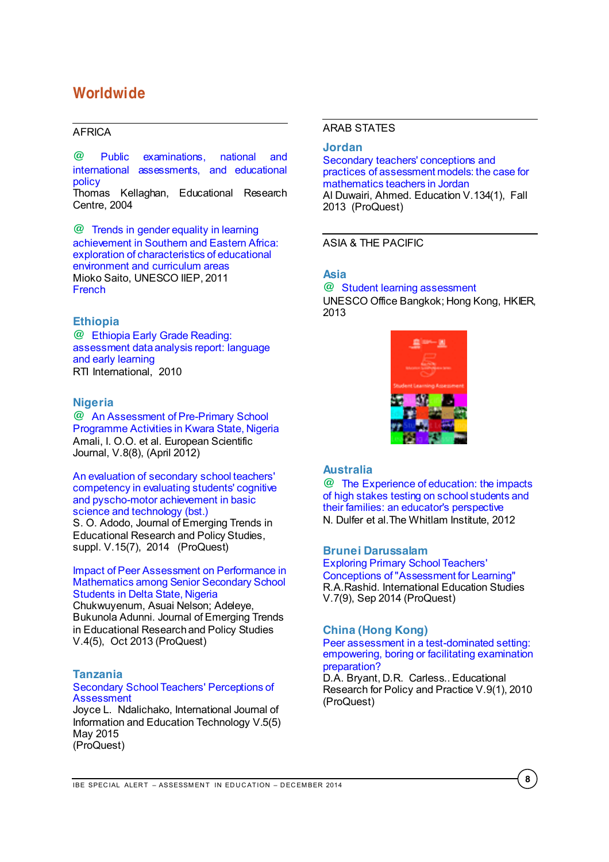# <span id="page-7-0"></span>**Worldwide**

# <span id="page-7-1"></span>AFRICA

**@** [Public examinations, national and](http://siteresources.worldbank.org/INTAFRREGTOPSEIA/Resources/paper_Kellaghan.pdf)  [international assessments, and educational](http://siteresources.worldbank.org/INTAFRREGTOPSEIA/Resources/paper_Kellaghan.pdf)  [policy](http://siteresources.worldbank.org/INTAFRREGTOPSEIA/Resources/paper_Kellaghan.pdf)

Thomas Kellaghan, Educational Research Centre, 2004

**@** [Trends in gender equality in learning](http://doc.iiep.unesco.org/wwwisis/repdoc/SEM313/SEM313_5_eng.pdf)  [achievement in Southern and Eastern Africa:](http://doc.iiep.unesco.org/wwwisis/repdoc/SEM313/SEM313_5_eng.pdf)  [exploration of characteristics of educational](http://doc.iiep.unesco.org/wwwisis/repdoc/SEM313/SEM313_5_eng.pdf)  [environment and curriculum areas](http://doc.iiep.unesco.org/wwwisis/repdoc/SEM313/SEM313_5_eng.pdf) Mioko Saito, UNESCO IIEP, 2011 [French](http://doc.iiep.unesco.org/wwwisis/repdoc/SEM313/SEM313_5_fre.pdf)

### <span id="page-7-2"></span>**Ethiopia**

**@** [Ethiopia Early Grade Reading:](http://www.usaid.gov/sites/default/files/documents/1860/Ethiopia%20Early%20Grade%20Reading%20Assessment.pdf)  [assessment data analysis report: language](http://www.usaid.gov/sites/default/files/documents/1860/Ethiopia%20Early%20Grade%20Reading%20Assessment.pdf)  [and early learning](http://www.usaid.gov/sites/default/files/documents/1860/Ethiopia%20Early%20Grade%20Reading%20Assessment.pdf) RTI International, 2010

# <span id="page-7-3"></span>**Nigeria**

**@** [An Assessment of Pre-Primary School](http://www.eujournal.org/index.php/esj/article/view/132)  [Programme Activities in Kwara State, Nigeria](http://www.eujournal.org/index.php/esj/article/view/132) Amali, I. O.O. et al. European Scientific Journal, V.8(8), (April 2012)

#### [An evaluation of secondary school teachers'](http://search.proquest.com/pqcentral/docview/1564428887/fulltextPDF/B67F3397B44A4EEEPQ/13?accountid=41859)  [competency in evaluating students' cognitive](http://search.proquest.com/pqcentral/docview/1564428887/fulltextPDF/B67F3397B44A4EEEPQ/13?accountid=41859)  [and pyscho-motor achievement in basic](http://search.proquest.com/pqcentral/docview/1564428887/fulltextPDF/B67F3397B44A4EEEPQ/13?accountid=41859)  [science and technology \(bst.\)](http://search.proquest.com/pqcentral/docview/1564428887/fulltextPDF/B67F3397B44A4EEEPQ/13?accountid=41859)

S. O. Adodo, Journal of Emerging Trends in Educational Research and Policy Studies, suppl. V.15(7), 2014 (ProQuest)

#### [Impact of Peer Assessment on Performance in](http://search.proquest.com/pqcentral/docview/1468906607/fulltextPDF/21027F5A41FD4A18PQ/72?accountid=41859)  [Mathematics among Senior Secondary School](http://search.proquest.com/pqcentral/docview/1468906607/fulltextPDF/21027F5A41FD4A18PQ/72?accountid=41859)  [Students in Delta State, Nigeria](http://search.proquest.com/pqcentral/docview/1468906607/fulltextPDF/21027F5A41FD4A18PQ/72?accountid=41859)

Chukwuyenum, Asuai Nelson; Adeleye, Bukunola Adunni. Journal of Emerging Trends in Educational Research and Policy Studies V.4(5), Oct 2013 (ProQuest)

#### <span id="page-7-4"></span>**Tanzania**

#### [Secondary School Teachers' Perceptions of](http://search.proquest.com/pqcentral/docview/1538895086/fulltextPDF/E904A2F3BD1743C2PQ/7?accountid=41859)  **[Assessment](http://search.proquest.com/pqcentral/docview/1538895086/fulltextPDF/E904A2F3BD1743C2PQ/7?accountid=41859)**

Joyce L. Ndalichako, International Journal of Information and Education Technology V.5(5) May 2015 (ProQuest)

#### <span id="page-7-5"></span>ARAB STATES

### <span id="page-7-6"></span>**Jordan**

[Secondary teachers' conceptions and](http://search.proquest.com/pqcentral/docview/1525982697/fulltextPDF/21027F5A41FD4A18PQ/68?accountid=41859)  [practices of assessment models: the case for](http://search.proquest.com/pqcentral/docview/1525982697/fulltextPDF/21027F5A41FD4A18PQ/68?accountid=41859)  [mathematics teachers in Jordan](http://search.proquest.com/pqcentral/docview/1525982697/fulltextPDF/21027F5A41FD4A18PQ/68?accountid=41859) Al Duwairi, Ahmed. Education V.134(1), Fall 2013 (ProQuest)

### <span id="page-7-7"></span>ASIA & THE PACIFIC

# <span id="page-7-8"></span>**Asia**

**@** [Student learning assessment](http://unesdoc.unesco.org/images/0021/002178/217816e.pdf) UNESCO Office Bangkok; Hong Kong, HKIER, 2013



# <span id="page-7-9"></span>**Australia**

**@** [The Experience of education: the impacts](http://www.whitlam.org/__data/assets/pdf_file/0010/409735/High_Stakes_Testing_An_Educators_Perspective.pdf)  [of high stakes testing on school students and](http://www.whitlam.org/__data/assets/pdf_file/0010/409735/High_Stakes_Testing_An_Educators_Perspective.pdf)  [their families: an educator's perspective](http://www.whitlam.org/__data/assets/pdf_file/0010/409735/High_Stakes_Testing_An_Educators_Perspective.pdf) N. Dulfer et al.The Whitlam Institute, 2012

#### <span id="page-7-10"></span>**Brunei Darussalam**

[Exploring Primary School Teachers'](http://search.proquest.com/pqcentral/docview/1561743537/3444DAFDEB524D65PQ/23?accountid=41859)  [Conceptions of "Assessment for Learning"](http://search.proquest.com/pqcentral/docview/1561743537/3444DAFDEB524D65PQ/23?accountid=41859) R.A.Rashid. International Education Studies V.7(9), Sep 2014 (ProQuest)

### <span id="page-7-11"></span>**China (Hong Kong)**

[Peer assessment in a test-dominated setting:](http://search.proquest.com/pqcentral/docview/220579050/B67F3397B44A4EEEPQ/102?accountid=41859)  [empowering, boring or facilitating examination](http://search.proquest.com/pqcentral/docview/220579050/B67F3397B44A4EEEPQ/102?accountid=41859)  [preparation?](http://search.proquest.com/pqcentral/docview/220579050/B67F3397B44A4EEEPQ/102?accountid=41859)

D.A. Bryant, D.R. Carless.. Educational Research for Policy and Practice V.9(1), 2010 (ProQuest)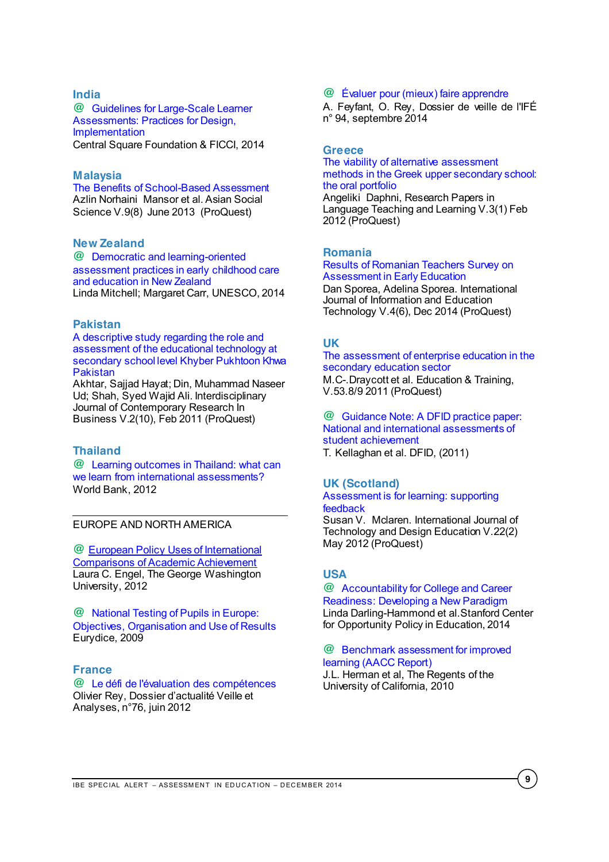#### <span id="page-8-0"></span>**India**

**@** [Guidelines for Large-Scale Learner](http://www.ficci.com/spdocument/20381/CSF-FICCI_Guidelines-Mar-2014.pdf)  [Assessments: Practices for Design,](http://www.ficci.com/spdocument/20381/CSF-FICCI_Guidelines-Mar-2014.pdf)  [Implementation](http://www.ficci.com/spdocument/20381/CSF-FICCI_Guidelines-Mar-2014.pdf) Central Square Foundation & FICCI, 2014

# <span id="page-8-1"></span>**Malaysia**

[The Benefits of School-Based Assessment](http://search.proquest.com/pqcentral/docview/1349413234/fulltextPDF/21027F5A41FD4A18PQ/95?accountid=41859) Azlin Norhaini Mansor et al. Asian Social Science V.9(8) June 2013 (ProQuest)

# <span id="page-8-2"></span>**New Zealand**

**@** [Democratic and learning-oriented](http://unesdoc.unesco.org/images/0022/002265/226550e.pdf)  [assessment practices in early childhood care](http://unesdoc.unesco.org/images/0022/002265/226550e.pdf)  [and education in New Zealand](http://unesdoc.unesco.org/images/0022/002265/226550e.pdf) Linda Mitchell; Margaret Carr, UNESCO, 2014

#### <span id="page-8-3"></span>**Pakistan**

[A descriptive study regarding the role and](http://search.proquest.com/pqcentral/docview/857667199/fulltextPDF/B67F3397B44A4EEEPQ/87?accountid=41859)  [assessment of the educational technology at](http://search.proquest.com/pqcentral/docview/857667199/fulltextPDF/B67F3397B44A4EEEPQ/87?accountid=41859)  [secondary school level Khyber Pukhtoon Khwa](http://search.proquest.com/pqcentral/docview/857667199/fulltextPDF/B67F3397B44A4EEEPQ/87?accountid=41859)  [Pakistan](http://search.proquest.com/pqcentral/docview/857667199/fulltextPDF/B67F3397B44A4EEEPQ/87?accountid=41859) 

Akhtar, Sajjad Hayat; Din, Muhammad Naseer Ud; Shah, Syed Wajid Ali. Interdisciplinary Journal of Contemporary Research In Business V.2(10), Feb 2011 (ProQuest)

### <span id="page-8-4"></span>**Thailand**

**@** [Learning outcomes in Thailand: what can](http://www-wds.worldbank.org/external/default/WDSContentServer/WDSP/IB/2012/01/25/000386194_20120125004047/Rendered/PDF/648010ESW0whit0nal0Report0Formatted.pdf)  [we learn from international assessments?](http://www-wds.worldbank.org/external/default/WDSContentServer/WDSP/IB/2012/01/25/000386194_20120125004047/Rendered/PDF/648010ESW0whit0nal0Report0Formatted.pdf) World Bank, 2012

# <span id="page-8-5"></span>EUROPE AND NORTH AMERICA

**@** [European Policy Uses of International](http://transatlantic.sais-jhu.edu/ACES/ACES_Working_Papers/2012/Laura%20Engel.pdf)  [Comparisons of Academic Achievement](http://transatlantic.sais-jhu.edu/ACES/ACES_Working_Papers/2012/Laura%20Engel.pdf) Laura C. Engel, The George Washington University, 2012

**@** [National Testing of Pupils in Europe:](http://eacea.ec.europa.eu/education/eurydice/documents/thematic_reports/109EN.pdf)  [Objectives, Organisation and Use of Results](http://eacea.ec.europa.eu/education/eurydice/documents/thematic_reports/109EN.pdf) Eurydice, 2009

### <span id="page-8-6"></span>**France**

**@** [Le défi de l'évaluation des compétences](http://ife.ens-lyon.fr/vst/DA-Veille/76-juin-2012.pdf) Olivier Rey, Dossier d'actualité Veille et Analyses, n°76, juin 2012

#### **@** [Évaluer pour \(mieux\) faire apprendre](http://ife.ens-lyon.fr/vst/DA-Veille/94-septembre-2014.pdf)

A. Feyfant, O. Rey, Dossier de veille de l'IFÉ n° 94, septembre 2014

#### <span id="page-8-7"></span>**Greece**

[The viability of alternative assessment](http://search.proquest.com/pqcentral/docview/1322942241/fulltextPDF/1006368F7D8448CCPQ/3?accountid=41859)  [methods in the Greek upper secondary school:](http://search.proquest.com/pqcentral/docview/1322942241/fulltextPDF/1006368F7D8448CCPQ/3?accountid=41859)  [the oral portfolio](http://search.proquest.com/pqcentral/docview/1322942241/fulltextPDF/1006368F7D8448CCPQ/3?accountid=41859) Angeliki Daphni, Research Papers in

Language Teaching and Learning V.3(1) Feb 2012 (ProQuest)

#### <span id="page-8-8"></span>**Romania**

[Results of Romanian Teachers Survey on](http://search.proquest.com/pqcentral/docview/1557064119/E904A2F3BD1743C2PQ/17?accountid=41859)  [Assessment in Early Education](http://search.proquest.com/pqcentral/docview/1557064119/E904A2F3BD1743C2PQ/17?accountid=41859) Dan Sporea, Adelina Sporea. International

Journal of Information and Education Technology V.4(6), Dec 2014 (ProQuest)

#### <span id="page-8-9"></span>**UK**

[The assessment of enterprise education in the](http://search.proquest.com/pqcentral/docview/904944310/fulltextPDF/B67F3397B44A4EEEPQ/72?accountid=41859)  [secondary education sector](http://search.proquest.com/pqcentral/docview/904944310/fulltextPDF/B67F3397B44A4EEEPQ/72?accountid=41859) M.C-.Draycott et al. Education & Training,

V.53.8/9 2011 (ProQuest)

**@** [Guidance Note: A DFID practice paper:](http://www.heart-resources.org/wp-content/uploads/2012/04/04-Learning-Outcomes-How-To-Note.pdf?08012f)  [National and international assessments of](http://www.heart-resources.org/wp-content/uploads/2012/04/04-Learning-Outcomes-How-To-Note.pdf?08012f)  [student achievement](http://www.heart-resources.org/wp-content/uploads/2012/04/04-Learning-Outcomes-How-To-Note.pdf?08012f)

T. Kellaghan et al. DFID, (2011)

# <span id="page-8-10"></span>**UK (Scotland)**

[Assessment is for learning: supporting](http://search.proquest.com/pqcentral/docview/1013451453/21027F5A41FD4A18PQ/163?accountid=41859)  [feedback](http://search.proquest.com/pqcentral/docview/1013451453/21027F5A41FD4A18PQ/163?accountid=41859)

Susan V. Mclaren. International Journal of Technology and Design Education V.22(2) May 2012 (ProQuest)

# <span id="page-8-11"></span>**USA**

**@** [Accountability for College and Career](https://edpolicy.stanford.edu/sites/default/files/publications/accountability-college-and-career-readiness-developing-new-paradigm.pdf)  [Readiness: Developing a New Paradigm](https://edpolicy.stanford.edu/sites/default/files/publications/accountability-college-and-career-readiness-developing-new-paradigm.pdf) Linda Darling-Hammond et al.Stanford Center for Opportunity Policy in Education, 2014

#### **@** [Benchmark assessment for improved](http://www.cse.ucla.edu/products/policy/r2_benchmark_report_herman.pdf)  [learning \(AACC Report\)](http://www.cse.ucla.edu/products/policy/r2_benchmark_report_herman.pdf)

J.L. Herman et al, The Regents of the University of California, 2010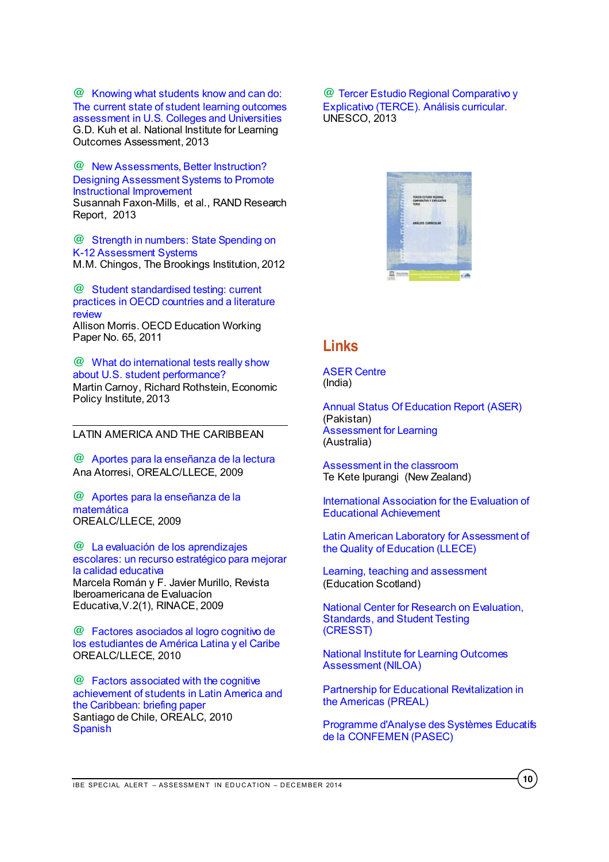**@** [Knowing what students know and can do:](http://www.learningoutcomeassessment.org/knowingwhatstudentsknowandcando.html)  [The current state of student learning outcomes](http://www.learningoutcomeassessment.org/knowingwhatstudentsknowandcando.html)  [assessment in U.S. Colleges and Universities](http://www.learningoutcomeassessment.org/knowingwhatstudentsknowandcando.html) G.D. Kuh et al. National Institute for Learning Outcomes Assessment, 2013

**@** [New Assessments, Better Instruction?](http://www.rand.org/content/dam/rand/pubs/research_reports/RR300/RR354/RAND_RR354.pdf)  [Designing Assessment Systems to Promote](http://www.rand.org/content/dam/rand/pubs/research_reports/RR300/RR354/RAND_RR354.pdf)  [Instructional Improvement](http://www.rand.org/content/dam/rand/pubs/research_reports/RR300/RR354/RAND_RR354.pdf) Susannah Faxon-Mills, et al., RAND Research

Report, 2013 **@** [Strength in numbers: State Spending on](http://www.brookings.edu/~/media/research/files/reports/2012/11/29%20cost%20of%20assessment%20chingos/11_assessment_chingos_final.pdf) 

[K-12 Assessment Systems](http://www.brookings.edu/~/media/research/files/reports/2012/11/29%20cost%20of%20assessment%20chingos/11_assessment_chingos_final.pdf) M.M. Chingos, The Brookings Institution, 2012

**@** [Student standardised testing: current](http://www.oecd-ilibrary.org/education/student-standardised-testing_5kg3rp9qbnr6-en)  [practices in OECD countries and a literature](http://www.oecd-ilibrary.org/education/student-standardised-testing_5kg3rp9qbnr6-en)  [review](http://www.oecd-ilibrary.org/education/student-standardised-testing_5kg3rp9qbnr6-en) Allison Morris. OECD Education Working Paper No. 65, 2011

**@** [What do international tests really show](http://s2.epi.org/files/2013/EPI-What-do-international-tests-really-show-about-US-student-performance.pdf)  [about U.S. student performance?](http://s2.epi.org/files/2013/EPI-What-do-international-tests-really-show-about-US-student-performance.pdf) Martin Carnoy, Richard Rothstein, Economic Policy Institute, 2013

# <span id="page-9-0"></span>LATIN AMERICA AND THE CARIBBEAN

**@** [Aportes para la enseñanza de la lectura](http://unesdoc.unesco.org/images/0018/001802/180220s.pdf) Ana Atorresi, OREALC/LLECE, 2009

**@** [Aportes para la enseñanza de la](http://unesdoc.unesco.org/images/0018/001802/180273s.pdf)  [matemática](http://unesdoc.unesco.org/images/0018/001802/180273s.pdf) OREALC/LLECE, 2009

**@** [La evaluación de los aprendizajes](http://www.rinace.net/riee/numeros/vol2-num1/RIEE,%20Vol2,1.pdf)  [escolares: un recurso estratégico para mejorar](http://www.rinace.net/riee/numeros/vol2-num1/RIEE,%20Vol2,1.pdf)  [la calidad educativa](http://www.rinace.net/riee/numeros/vol2-num1/RIEE,%20Vol2,1.pdf) Marcela Román y F. Javier Murillo, Revista Iberoamericana de Evaluacíon Educativa,V.2(1), RINACE, 2009

**@** [Factores asociados al logro cognitivo de](http://unesdoc.unesco.org/images/0018/001867/186769s.pdf)  [los estudiantes de América Latina y el Caribe](http://unesdoc.unesco.org/images/0018/001867/186769s.pdf) OREALC/LLECE, 2010

**@** [Factors associated with the cognitive](http://unesdoc.unesco.org/images/0019/001902/190213e.pdf)  [achievement of students in Latin America and](http://unesdoc.unesco.org/images/0019/001902/190213e.pdf)  the [Caribbean: briefing paper](http://unesdoc.unesco.org/images/0019/001902/190213e.pdf) Santiago de Chile, OREALC, 2010 [Spanish](http://unesdoc.unesco.org/images/0019/001902/190213s.pdf)

**@** [Tercer Estudio Regional Comparativo y](http://www.unesco.org/new/fileadmin/MULTIMEDIA/FIELD/Santiago/pdf/analisis-curricular-terce.pdf)  [Explicativo \(TERCE\). Análisis curricular.](http://www.unesco.org/new/fileadmin/MULTIMEDIA/FIELD/Santiago/pdf/analisis-curricular-terce.pdf) UNESCO, 2013



# <span id="page-9-1"></span>**Links**

[ASER Centre](http://www.asercentre.org/) (India)

[Annual Status Of Education Report \(ASER\)](http://www.aserpakistan.org/) (Pakistan) [Assessment for Learning](http://www.assessmentforlearning.edu.au/contact_us.html) (Australia)

[Assessment in the classroom](http://assessment.tki.org.nz/Assessment-in-the-classroom) Te Kete Ipurangi (New Zealand)

[International Association for the Evaluation of](http://www.iea.nl/)  [Educational Achievement](http://www.iea.nl/)

[Latin American Laboratory for Assessment of](http://www.unesco.org/new/en/santiago/education/education-assessment-llece/)  [the Quality of Education \(LLECE\)](http://www.unesco.org/new/en/santiago/education/education-assessment-llece/)

[Learning, teaching and assessment](http://www.educationscotland.gov.uk/learningteachingandassessment/assessment/) (Education Scotland)

[National Center for Research on Evaluation,](http://www.cse.ucla.edu/)  [Standards, and Student Testing](http://www.cse.ucla.edu/)  [\(CRESST\)](http://www.cse.ucla.edu/)

[National Institute for Learning Outcomes](http://www.learningoutcomesassessment.org/)  [Assessment \(NILOA\)](http://www.learningoutcomesassessment.org/)

[Partnership for Educational Revitalization in](http://www.preal.org/ENGL/Default.asp)  [the Americas \(PREAL\)](http://www.preal.org/ENGL/Default.asp)

[Programme d'Analyse des Systèmes Educatifs](http://www.confemen.org/le-pasec/)  [de la CONFEMEN \(PASEC\)](http://www.confemen.org/le-pasec/)